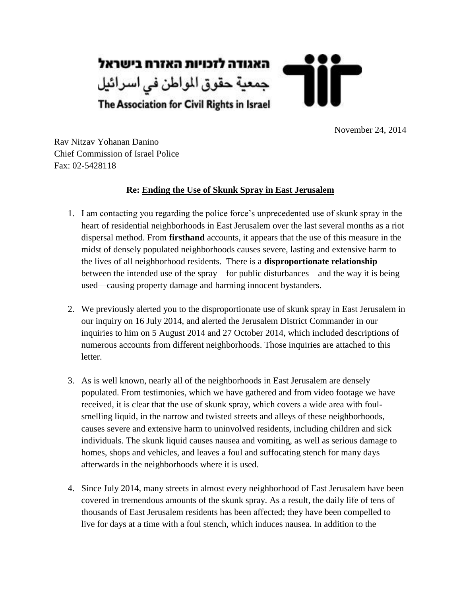

November 24, 2014

Rav Nitzav Yohanan Danino Chief Commission of Israel Police Fax: 02-5428118

### **Re: Ending the Use of Skunk Spray in East Jerusalem**

- 1. I am contacting you regarding the police force's unprecedented use of skunk spray in the heart of residential neighborhoods in East Jerusalem over the last several months as a riot dispersal method. From **firsthand** accounts, it appears that the use of this measure in the midst of densely populated neighborhoods causes severe, lasting and extensive harm to the lives of all neighborhood residents. There is a **disproportionate relationship** between the intended use of the spray—for public disturbances—and the way it is being used—causing property damage and harming innocent bystanders.
- 2. We previously alerted you to the disproportionate use of skunk spray in East Jerusalem in our inquiry on 16 July 2014, and alerted the Jerusalem District Commander in our inquiries to him on 5 August 2014 and 27 October 2014, which included descriptions of numerous accounts from different neighborhoods. Those inquiries are attached to this letter.
- 3. As is well known, nearly all of the neighborhoods in East Jerusalem are densely populated. From testimonies, which we have gathered and from video footage we have received, it is clear that the use of skunk spray, which covers a wide area with foulsmelling liquid, in the narrow and twisted streets and alleys of these neighborhoods, causes severe and extensive harm to uninvolved residents, including children and sick individuals. The skunk liquid causes nausea and vomiting, as well as serious damage to homes, shops and vehicles, and leaves a foul and suffocating stench for many days afterwards in the neighborhoods where it is used.
- 4. Since July 2014, many streets in almost every neighborhood of East Jerusalem have been covered in tremendous amounts of the skunk spray. As a result, the daily life of tens of thousands of East Jerusalem residents has been affected; they have been compelled to live for days at a time with a foul stench, which induces nausea. In addition to the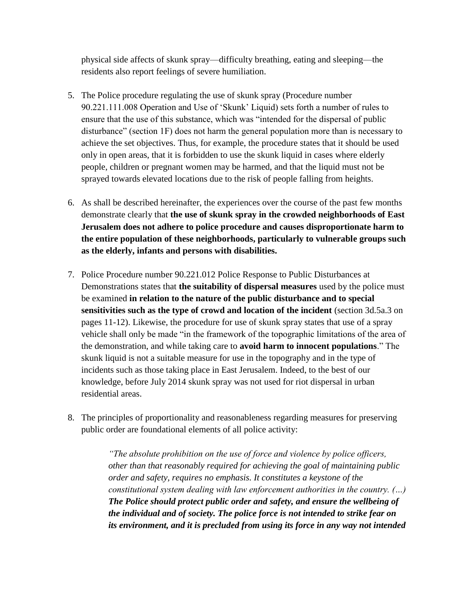physical side affects of skunk spray—difficulty breathing, eating and sleeping—the residents also report feelings of severe humiliation.

- 5. The Police procedure regulating the use of skunk spray (Procedure number 90.221.111.008 Operation and Use of 'Skunk' Liquid) sets forth a number of rules to ensure that the use of this substance, which was "intended for the dispersal of public disturbance" (section 1F) does not harm the general population more than is necessary to achieve the set objectives. Thus, for example, the procedure states that it should be used only in open areas, that it is forbidden to use the skunk liquid in cases where elderly people, children or pregnant women may be harmed, and that the liquid must not be sprayed towards elevated locations due to the risk of people falling from heights.
- 6. As shall be described hereinafter, the experiences over the course of the past few months demonstrate clearly that **the use of skunk spray in the crowded neighborhoods of East Jerusalem does not adhere to police procedure and causes disproportionate harm to the entire population of these neighborhoods, particularly to vulnerable groups such as the elderly, infants and persons with disabilities.**
- 7. Police Procedure number 90.221.012 Police Response to Public Disturbances at Demonstrations states that **the suitability of dispersal measures** used by the police must be examined **in relation to the nature of the public disturbance and to special sensitivities such as the type of crowd and location of the incident** (section 3d.5a.3 on pages 11-12). Likewise, the procedure for use of skunk spray states that use of a spray vehicle shall only be made "in the framework of the topographic limitations of the area of the demonstration, and while taking care to **avoid harm to innocent populations**.‖ The skunk liquid is not a suitable measure for use in the topography and in the type of incidents such as those taking place in East Jerusalem. Indeed, to the best of our knowledge, before July 2014 skunk spray was not used for riot dispersal in urban residential areas.
- 8. The principles of proportionality and reasonableness regarding measures for preserving public order are foundational elements of all police activity:

*"The absolute prohibition on the use of force and violence by police officers, other than that reasonably required for achieving the goal of maintaining public order and safety, requires no emphasis. It constitutes a keystone of the constitutional system dealing with law enforcement authorities in the country. (…) The Police should protect public order and safety, and ensure the wellbeing of the individual and of society. The police force is not intended to strike fear on its environment, and it is precluded from using its force in any way not intended*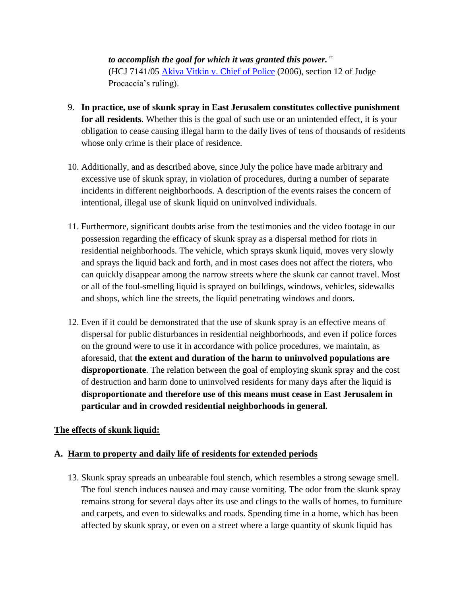*to accomplish the goal for which it was granted this power."*  (HCJ 7141/05 [Akiva Vitkin v. Chief of Police](http://www.nevo.co.il/psika_word/elyon/05071410-r11-e.doc) (2006), section 12 of Judge Procaccia's ruling).

- 9. **In practice, use of skunk spray in East Jerusalem constitutes collective punishment for all residents**. Whether this is the goal of such use or an unintended effect, it is your obligation to cease causing illegal harm to the daily lives of tens of thousands of residents whose only crime is their place of residence.
- 10. Additionally, and as described above, since July the police have made arbitrary and excessive use of skunk spray, in violation of procedures, during a number of separate incidents in different neighborhoods. A description of the events raises the concern of intentional, illegal use of skunk liquid on uninvolved individuals.
- 11. Furthermore, significant doubts arise from the testimonies and the video footage in our possession regarding the efficacy of skunk spray as a dispersal method for riots in residential neighborhoods. The vehicle, which sprays skunk liquid, moves very slowly and sprays the liquid back and forth, and in most cases does not affect the rioters, who can quickly disappear among the narrow streets where the skunk car cannot travel. Most or all of the foul-smelling liquid is sprayed on buildings, windows, vehicles, sidewalks and shops, which line the streets, the liquid penetrating windows and doors.
- 12. Even if it could be demonstrated that the use of skunk spray is an effective means of dispersal for public disturbances in residential neighborhoods, and even if police forces on the ground were to use it in accordance with police procedures, we maintain, as aforesaid, that **the extent and duration of the harm to uninvolved populations are disproportionate**. The relation between the goal of employing skunk spray and the cost of destruction and harm done to uninvolved residents for many days after the liquid is **disproportionate and therefore use of this means must cease in East Jerusalem in particular and in crowded residential neighborhoods in general.**

#### **The effects of skunk liquid:**

#### **A. Harm to property and daily life of residents for extended periods**

13. Skunk spray spreads an unbearable foul stench, which resembles a strong sewage smell. The foul stench induces nausea and may cause vomiting. The odor from the skunk spray remains strong for several days after its use and clings to the walls of homes, to furniture and carpets, and even to sidewalks and roads. Spending time in a home, which has been affected by skunk spray, or even on a street where a large quantity of skunk liquid has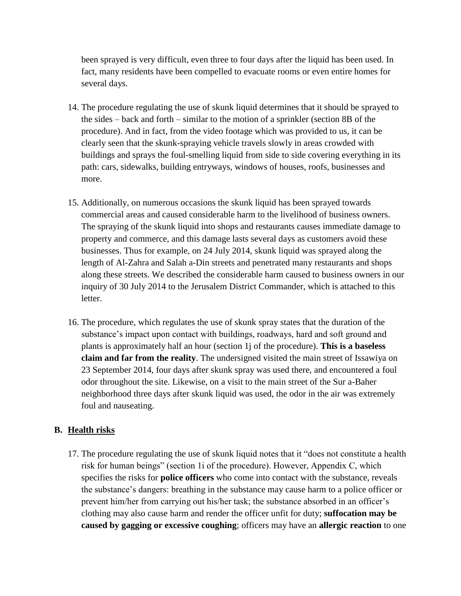been sprayed is very difficult, even three to four days after the liquid has been used. In fact, many residents have been compelled to evacuate rooms or even entire homes for several days.

- 14. The procedure regulating the use of skunk liquid determines that it should be sprayed to the sides – back and forth – similar to the motion of a sprinkler (section 8B of the procedure). And in fact, from the video footage which was provided to us, it can be clearly seen that the skunk-spraying vehicle travels slowly in areas crowded with buildings and sprays the foul-smelling liquid from side to side covering everything in its path: cars, sidewalks, building entryways, windows of houses, roofs, businesses and more.
- 15. Additionally, on numerous occasions the skunk liquid has been sprayed towards commercial areas and caused considerable harm to the livelihood of business owners. The spraying of the skunk liquid into shops and restaurants causes immediate damage to property and commerce, and this damage lasts several days as customers avoid these businesses. Thus for example, on 24 July 2014, skunk liquid was sprayed along the length of Al-Zahra and Salah a-Din streets and penetrated many restaurants and shops along these streets. We described the considerable harm caused to business owners in our inquiry of 30 July 2014 to the Jerusalem District Commander, which is attached to this letter.
- 16. The procedure, which regulates the use of skunk spray states that the duration of the substance's impact upon contact with buildings, roadways, hard and soft ground and plants is approximately half an hour (section 1j of the procedure). **This is a baseless claim and far from the reality**. The undersigned visited the main street of Issawiya on 23 September 2014, four days after skunk spray was used there, and encountered a foul odor throughout the site. Likewise, on a visit to the main street of the Sur a-Baher neighborhood three days after skunk liquid was used, the odor in the air was extremely foul and nauseating.

#### **B. Health risks**

17. The procedure regulating the use of skunk liquid notes that it "does not constitute a health risk for human beings" (section 1 i of the procedure). However, Appendix C, which specifies the risks for **police officers** who come into contact with the substance, reveals the substance's dangers: breathing in the substance may cause harm to a police officer or prevent him/her from carrying out his/her task; the substance absorbed in an officer's clothing may also cause harm and render the officer unfit for duty; **suffocation may be caused by gagging or excessive coughing**; officers may have an **allergic reaction** to one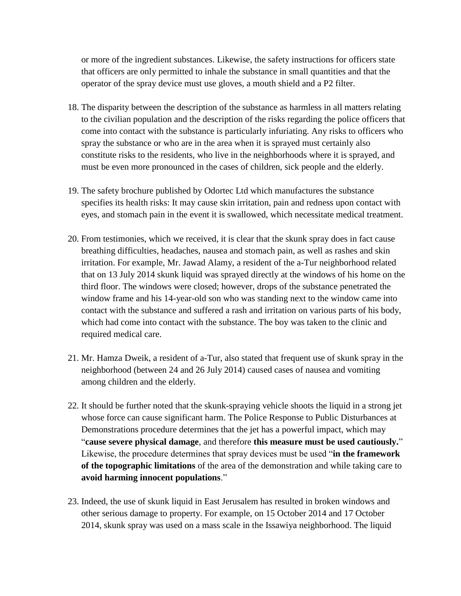or more of the ingredient substances. Likewise, the safety instructions for officers state that officers are only permitted to inhale the substance in small quantities and that the operator of the spray device must use gloves, a mouth shield and a P2 filter.

- 18. The disparity between the description of the substance as harmless in all matters relating to the civilian population and the description of the risks regarding the police officers that come into contact with the substance is particularly infuriating. Any risks to officers who spray the substance or who are in the area when it is sprayed must certainly also constitute risks to the residents, who live in the neighborhoods where it is sprayed, and must be even more pronounced in the cases of children, sick people and the elderly.
- 19. The safety brochure published by Odortec Ltd which manufactures the substance specifies its health risks: It may cause skin irritation, pain and redness upon contact with eyes, and stomach pain in the event it is swallowed, which necessitate medical treatment.
- 20. From testimonies, which we received, it is clear that the skunk spray does in fact cause breathing difficulties, headaches, nausea and stomach pain, as well as rashes and skin irritation. For example, Mr. Jawad Alamy, a resident of the a-Tur neighborhood related that on 13 July 2014 skunk liquid was sprayed directly at the windows of his home on the third floor. The windows were closed; however, drops of the substance penetrated the window frame and his 14-year-old son who was standing next to the window came into contact with the substance and suffered a rash and irritation on various parts of his body, which had come into contact with the substance. The boy was taken to the clinic and required medical care.
- 21. Mr. Hamza Dweik, a resident of a-Tur, also stated that frequent use of skunk spray in the neighborhood (between 24 and 26 July 2014) caused cases of nausea and vomiting among children and the elderly.
- 22. It should be further noted that the skunk-spraying vehicle shoots the liquid in a strong jet whose force can cause significant harm. The Police Response to Public Disturbances at Demonstrations procedure determines that the jet has a powerful impact, which may "cause severe physical damage, and therefore this measure must be used cautiously." Likewise, the procedure determines that spray devices must be used "**in the framework of the topographic limitations** of the area of the demonstration and while taking care to **avoid harming innocent populations**.‖
- 23. Indeed, the use of skunk liquid in East Jerusalem has resulted in broken windows and other serious damage to property. For example, on 15 October 2014 and 17 October 2014, skunk spray was used on a mass scale in the Issawiya neighborhood. The liquid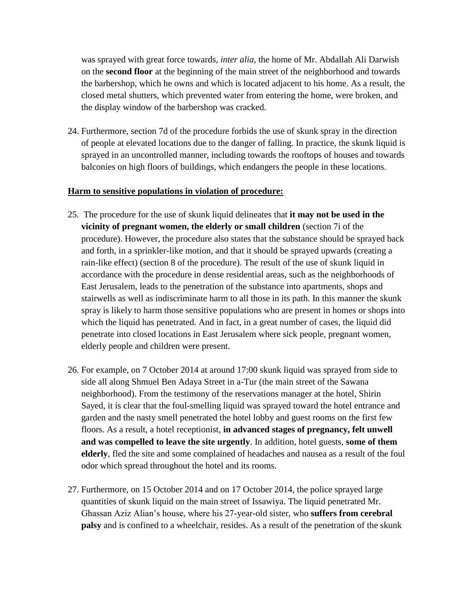was sprayed with great force towards, *inter alia*, the home of Mr. Abdallah Ali Darwish on the **second floor** at the beginning of the main street of the neighborhood and towards the barbershop, which he owns and which is located adjacent to his home. As a result, the closed metal shutters, which prevented water from entering the home, were broken, and the display window of the barbershop was cracked.

24. Furthermore, section 7d of the procedure forbids the use of skunk spray in the direction of people at elevated locations due to the danger of falling. In practice, the skunk liquid is sprayed in an uncontrolled manner, including towards the rooftops of houses and towards balconies on high floors of buildings, which endangers the people in these locations.

#### **Harm to sensitive populations in violation of procedure:**

- 25. The procedure for the use of skunk liquid delineates that **it may not be used in the vicinity of pregnant women, the elderly or small children** (section 7i of the procedure). However, the procedure also states that the substance should be sprayed back and forth, in a sprinkler-like motion, and that it should be sprayed upwards (creating a rain-like effect) (section 8 of the procedure). The result of the use of skunk liquid in accordance with the procedure in dense residential areas, such as the neighborhoods of East Jerusalem, leads to the penetration of the substance into apartments, shops and stairwells as well as indiscriminate harm to all those in its path. In this manner the skunk spray is likely to harm those sensitive populations who are present in homes or shops into which the liquid has penetrated. And in fact, in a great number of cases, the liquid did penetrate into closed locations in East Jerusalem where sick people, pregnant women, elderly people and children were present.
- 26. For example, on 7 October 2014 at around 17:00 skunk liquid was sprayed from side to side all along Shmuel Ben Adaya Street in a-Tur (the main street of the Sawana neighborhood). From the testimony of the reservations manager at the hotel, Shirin Sayed, it is clear that the foul-smelling liquid was sprayed toward the hotel entrance and garden and the nasty smell penetrated the hotel lobby and guest rooms on the first few floors. As a result, a hotel receptionist, **in advanced stages of pregnancy, felt unwell and was compelled to leave the site urgently**. In addition, hotel guests, **some of them elderly**, fled the site and some complained of headaches and nausea as a result of the foul odor which spread throughout the hotel and its rooms.
- 27. Furthermore, on 15 October 2014 and on 17 October 2014, the police sprayed large quantities of skunk liquid on the main street of Issawiya. The liquid penetrated Mr. Ghassan Aziz Alian's house, where his 27-year-old sister, who **suffers from cerebral palsy** and is confined to a wheelchair, resides. As a result of the penetration of the skunk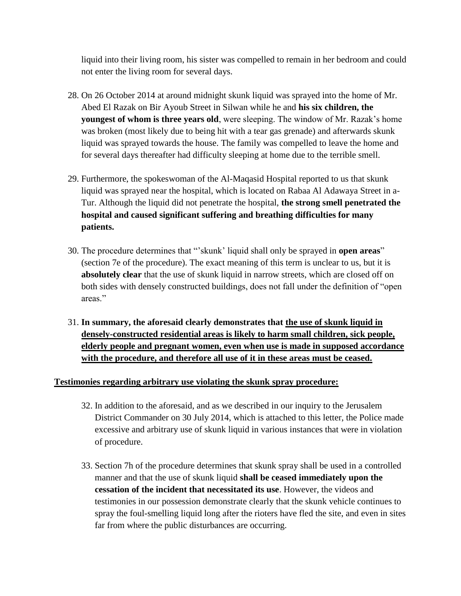liquid into their living room, his sister was compelled to remain in her bedroom and could not enter the living room for several days.

- 28. On 26 October 2014 at around midnight skunk liquid was sprayed into the home of Mr. Abed El Razak on Bir Ayoub Street in Silwan while he and **his six children, the youngest of whom is three years old**, were sleeping. The window of Mr. Razak's home was broken (most likely due to being hit with a tear gas grenade) and afterwards skunk liquid was sprayed towards the house. The family was compelled to leave the home and for several days thereafter had difficulty sleeping at home due to the terrible smell.
- 29. Furthermore, the spokeswoman of the Al-Maqasid Hospital reported to us that skunk liquid was sprayed near the hospital, which is located on Rabaa Al Adawaya Street in a-Tur. Although the liquid did not penetrate the hospital, **the strong smell penetrated the hospital and caused significant suffering and breathing difficulties for many patients.**
- 30. The procedure determines that "skunk' liquid shall only be sprayed in **open areas**" (section 7e of the procedure). The exact meaning of this term is unclear to us, but it is **absolutely clear** that the use of skunk liquid in narrow streets, which are closed off on both sides with densely constructed buildings, does not fall under the definition of "open areas."
- 31. **In summary, the aforesaid clearly demonstrates that the use of skunk liquid in densely-constructed residential areas is likely to harm small children, sick people, elderly people and pregnant women, even when use is made in supposed accordance with the procedure, and therefore all use of it in these areas must be ceased.**

#### **Testimonies regarding arbitrary use violating the skunk spray procedure:**

- 32. In addition to the aforesaid, and as we described in our inquiry to the Jerusalem District Commander on 30 July 2014, which is attached to this letter, the Police made excessive and arbitrary use of skunk liquid in various instances that were in violation of procedure.
- 33. Section 7h of the procedure determines that skunk spray shall be used in a controlled manner and that the use of skunk liquid **shall be ceased immediately upon the cessation of the incident that necessitated its use**. However, the videos and testimonies in our possession demonstrate clearly that the skunk vehicle continues to spray the foul-smelling liquid long after the rioters have fled the site, and even in sites far from where the public disturbances are occurring.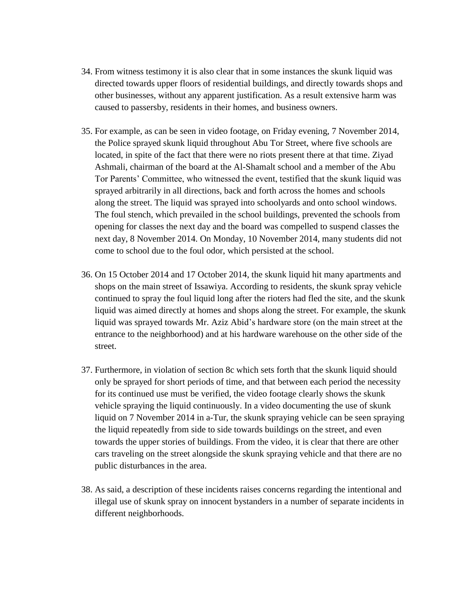- 34. From witness testimony it is also clear that in some instances the skunk liquid was directed towards upper floors of residential buildings, and directly towards shops and other businesses, without any apparent justification. As a result extensive harm was caused to passersby, residents in their homes, and business owners.
- 35. For example, as can be seen in video footage, on Friday evening, 7 November 2014, the Police sprayed skunk liquid throughout Abu Tor Street, where five schools are located, in spite of the fact that there were no riots present there at that time. Ziyad Ashmali, chairman of the board at the Al-Shamalt school and a member of the Abu Tor Parents' Committee, who witnessed the event, testified that the skunk liquid was sprayed arbitrarily in all directions, back and forth across the homes and schools along the street. The liquid was sprayed into schoolyards and onto school windows. The foul stench, which prevailed in the school buildings, prevented the schools from opening for classes the next day and the board was compelled to suspend classes the next day, 8 November 2014. On Monday, 10 November 2014, many students did not come to school due to the foul odor, which persisted at the school.
- 36. On 15 October 2014 and 17 October 2014, the skunk liquid hit many apartments and shops on the main street of Issawiya. According to residents, the skunk spray vehicle continued to spray the foul liquid long after the rioters had fled the site, and the skunk liquid was aimed directly at homes and shops along the street. For example, the skunk liquid was sprayed towards Mr. Aziz Abid's hardware store (on the main street at the entrance to the neighborhood) and at his hardware warehouse on the other side of the street.
- 37. Furthermore, in violation of section 8c which sets forth that the skunk liquid should only be sprayed for short periods of time, and that between each period the necessity for its continued use must be verified, the video footage clearly shows the skunk vehicle spraying the liquid continuously. In a video documenting the use of skunk liquid on 7 November 2014 in a-Tur, the skunk spraying vehicle can be seen spraying the liquid repeatedly from side to side towards buildings on the street, and even towards the upper stories of buildings. From the video, it is clear that there are other cars traveling on the street alongside the skunk spraying vehicle and that there are no public disturbances in the area.
- 38. As said, a description of these incidents raises concerns regarding the intentional and illegal use of skunk spray on innocent bystanders in a number of separate incidents in different neighborhoods.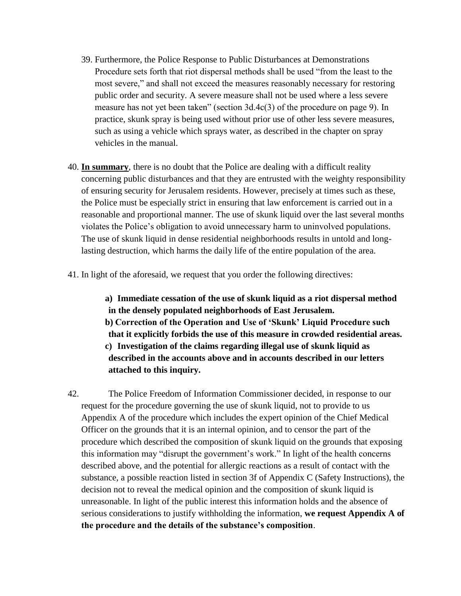- 39. Furthermore, the Police Response to Public Disturbances at Demonstrations Procedure sets forth that riot dispersal methods shall be used "from the least to the most severe," and shall not exceed the measures reasonably necessary for restoring public order and security. A severe measure shall not be used where a less severe measure has not yet been taken" (section  $3d.4c(3)$  of the procedure on page 9). In practice, skunk spray is being used without prior use of other less severe measures, such as using a vehicle which sprays water, as described in the chapter on spray vehicles in the manual.
- 40. **In summary**, there is no doubt that the Police are dealing with a difficult reality concerning public disturbances and that they are entrusted with the weighty responsibility of ensuring security for Jerusalem residents. However, precisely at times such as these, the Police must be especially strict in ensuring that law enforcement is carried out in a reasonable and proportional manner. The use of skunk liquid over the last several months violates the Police's obligation to avoid unnecessary harm to uninvolved populations. The use of skunk liquid in dense residential neighborhoods results in untold and longlasting destruction, which harms the daily life of the entire population of the area.
- 41. In light of the aforesaid, we request that you order the following directives:

**a) Immediate cessation of the use of skunk liquid as a riot dispersal method in the densely populated neighborhoods of East Jerusalem. b) Correction of the Operation and Use of 'Skunk' Liquid Procedure such that it explicitly forbids the use of this measure in crowded residential areas. c) Investigation of the claims regarding illegal use of skunk liquid as described in the accounts above and in accounts described in our letters attached to this inquiry.**

42. The Police Freedom of Information Commissioner decided, in response to our request for the procedure governing the use of skunk liquid, not to provide to us Appendix A of the procedure which includes the expert opinion of the Chief Medical Officer on the grounds that it is an internal opinion, and to censor the part of the procedure which described the composition of skunk liquid on the grounds that exposing this information may "disrupt the government's work." In light of the health concerns described above, and the potential for allergic reactions as a result of contact with the substance, a possible reaction listed in section 3f of Appendix C (Safety Instructions), the decision not to reveal the medical opinion and the composition of skunk liquid is unreasonable. In light of the public interest this information holds and the absence of serious considerations to justify withholding the information, **we request Appendix A of the procedure and the details of the substance's composition**.